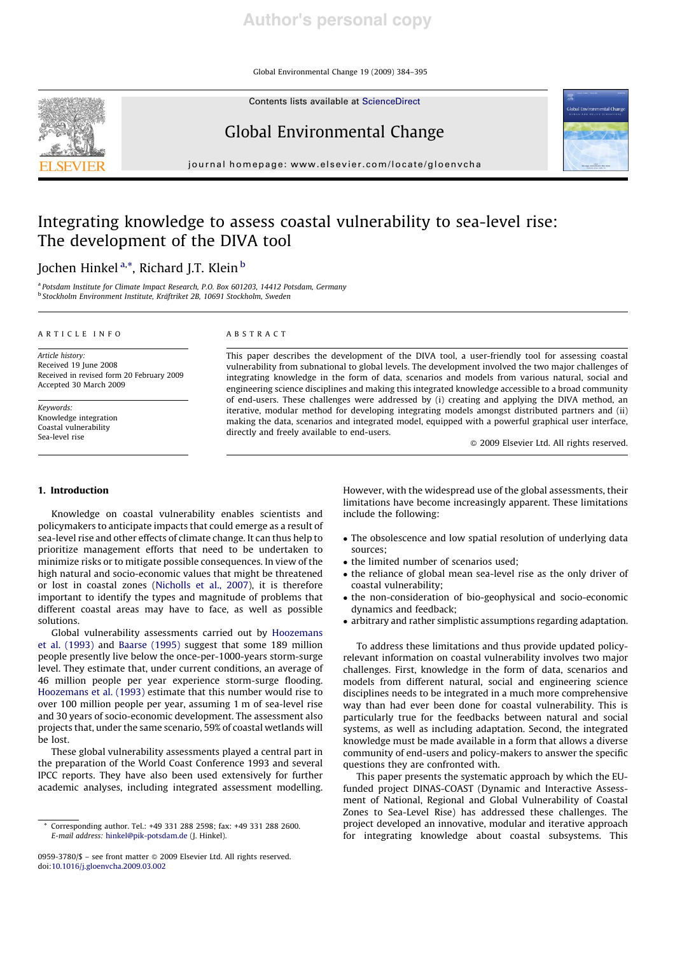Global Environmental Change 19 (2009) 384–395

Contents lists available at ScienceDirect



# Global Environmental Change

journal homepage: www.elsevier.com/locate/gloenvcha

# Integrating knowledge to assess coastal vulnerability to sea-level rise: The development of the DIVA tool

## Jochen Hinkel <sup>a,</sup>\*, Richard J.T. Klein <sup>b</sup>

<sup>a</sup> Potsdam Institute for Climate Impact Research, P.O. Box 601203, 14412 Potsdam, Germany <sup>b</sup> Stockholm Environment Institute, Kräftriket 2B, 10691 Stockholm, Sweden

#### A R T I C L E I N F O

Article history: Received 19 June 2008 Received in revised form 20 February 2009 Accepted 30 March 2009

Keywords: Knowledge integration Coastal vulnerability Sea-level rise

#### A B S T R A C T

This paper describes the development of the DIVA tool, a user-friendly tool for assessing coastal vulnerability from subnational to global levels. The development involved the two major challenges of integrating knowledge in the form of data, scenarios and models from various natural, social and engineering science disciplines and making this integrated knowledge accessible to a broad community of end-users. These challenges were addressed by (i) creating and applying the DIVA method, an iterative, modular method for developing integrating models amongst distributed partners and (ii) making the data, scenarios and integrated model, equipped with a powerful graphical user interface, directly and freely available to end-users.

 $\odot$  2009 Elsevier Ltd. All rights reserved.

lobal Environmental Chan

## 1. Introduction

Knowledge on coastal vulnerability enables scientists and policymakers to anticipate impacts that could emerge as a result of sea-level rise and other effects of climate change. It can thus help to prioritize management efforts that need to be undertaken to minimize risks or to mitigate possible consequences. In view of the high natural and socio-economic values that might be threatened or lost in coastal zones (Nicholls et al., 2007), it is therefore important to identify the types and magnitude of problems that different coastal areas may have to face, as well as possible solutions.

Global vulnerability assessments carried out by Hoozemans et al. (1993) and Baarse (1995) suggest that some 189 million people presently live below the once-per-1000-years storm-surge level. They estimate that, under current conditions, an average of 46 million people per year experience storm-surge flooding. Hoozemans et al. (1993) estimate that this number would rise to over 100 million people per year, assuming 1 m of sea-level rise and 30 years of socio-economic development. The assessment also projects that, under the same scenario, 59% of coastal wetlands will be lost.

These global vulnerability assessments played a central part in the preparation of the World Coast Conference 1993 and several IPCC reports. They have also been used extensively for further academic analyses, including integrated assessment modelling. However, with the widespread use of the global assessments, their limitations have become increasingly apparent. These limitations include the following:

- The obsolescence and low spatial resolution of underlying data sources;
- the limited number of scenarios used;
- the reliance of global mean sea-level rise as the only driver of coastal vulnerability;
- the non-consideration of bio-geophysical and socio-economic dynamics and feedback;
- ! arbitrary and rather simplistic assumptions regarding adaptation.

To address these limitations and thus provide updated policyrelevant information on coastal vulnerability involves two major challenges. First, knowledge in the form of data, scenarios and models from different natural, social and engineering science disciplines needs to be integrated in a much more comprehensive way than had ever been done for coastal vulnerability. This is particularly true for the feedbacks between natural and social systems, as well as including adaptation. Second, the integrated knowledge must be made available in a form that allows a diverse community of end-users and policy-makers to answer the specific questions they are confronted with.

This paper presents the systematic approach by which the EUfunded project DINAS-COAST (Dynamic and Interactive Assessment of National, Regional and Global Vulnerability of Coastal Zones to Sea-Level Rise) has addressed these challenges. The project developed an innovative, modular and iterative approach for integrating knowledge about coastal subsystems. This

<sup>\*</sup> Corresponding author. Tel.: +49 331 288 2598; fax: +49 331 288 2600. E-mail address: hinkel@pik-potsdam.de (J. Hinkel).

<sup>0959-3780/\$ -</sup> see front matter @ 2009 Elsevier Ltd. All rights reserved. doi:10.1016/j.gloenvcha.2009.03.002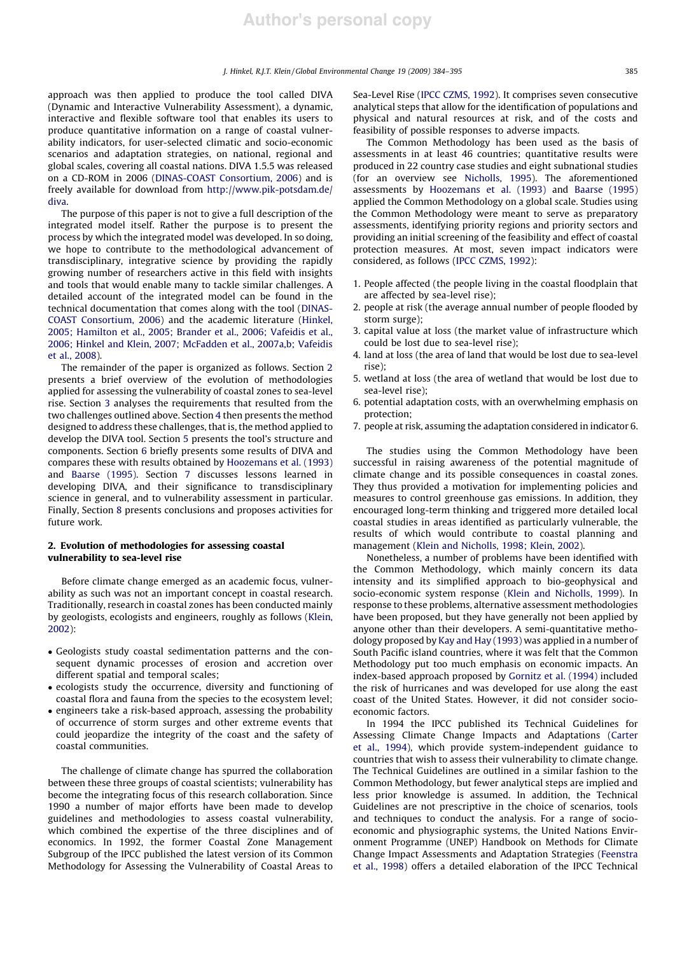approach was then applied to produce the tool called DIVA (Dynamic and Interactive Vulnerability Assessment), a dynamic, interactive and flexible software tool that enables its users to produce quantitative information on a range of coastal vulnerability indicators, for user-selected climatic and socio-economic scenarios and adaptation strategies, on national, regional and global scales, covering all coastal nations. DIVA 1.5.5 was released on a CD-ROM in 2006 (DINAS-COAST Consortium, 2006) and is freely available for download from http://www.pik-potsdam.de/ diva.

The purpose of this paper is not to give a full description of the integrated model itself. Rather the purpose is to present the process by which the integrated model was developed. In so doing, we hope to contribute to the methodological advancement of transdisciplinary, integrative science by providing the rapidly growing number of researchers active in this field with insights and tools that would enable many to tackle similar challenges. A detailed account of the integrated model can be found in the technical documentation that comes along with the tool (DINAS-COAST Consortium, 2006) and the academic literature (Hinkel, 2005; Hamilton et al., 2005; Brander et al., 2006; Vafeidis et al., 2006; Hinkel and Klein, 2007; McFadden et al., 2007a,b; Vafeidis et al., 2008).

The remainder of the paper is organized as follows. Section 2 presents a brief overview of the evolution of methodologies applied for assessing the vulnerability of coastal zones to sea-level rise. Section 3 analyses the requirements that resulted from the two challenges outlined above. Section 4 then presents the method designed to address these challenges, that is, the method applied to develop the DIVA tool. Section 5 presents the tool's structure and components. Section 6 briefly presents some results of DIVA and compares these with results obtained by Hoozemans et al. (1993) and Baarse (1995). Section 7 discusses lessons learned in developing DIVA, and their significance to transdisciplinary science in general, and to vulnerability assessment in particular. Finally, Section 8 presents conclusions and proposes activities for future work.

## 2. Evolution of methodologies for assessing coastal vulnerability to sea-level rise

Before climate change emerged as an academic focus, vulnerability as such was not an important concept in coastal research. Traditionally, research in coastal zones has been conducted mainly by geologists, ecologists and engineers, roughly as follows (Klein, 2002):

- ! Geologists study coastal sedimentation patterns and the consequent dynamic processes of erosion and accretion over different spatial and temporal scales;
- ! ecologists study the occurrence, diversity and functioning of coastal flora and fauna from the species to the ecosystem level;
- engineers take a risk-based approach, assessing the probability of occurrence of storm surges and other extreme events that could jeopardize the integrity of the coast and the safety of coastal communities.

The challenge of climate change has spurred the collaboration between these three groups of coastal scientists; vulnerability has become the integrating focus of this research collaboration. Since 1990 a number of major efforts have been made to develop guidelines and methodologies to assess coastal vulnerability, which combined the expertise of the three disciplines and of economics. In 1992, the former Coastal Zone Management Subgroup of the IPCC published the latest version of its Common Methodology for Assessing the Vulnerability of Coastal Areas to

Sea-Level Rise (IPCC CZMS, 1992). It comprises seven consecutive analytical steps that allow for the identification of populations and physical and natural resources at risk, and of the costs and feasibility of possible responses to adverse impacts.

The Common Methodology has been used as the basis of assessments in at least 46 countries; quantitative results were produced in 22 country case studies and eight subnational studies (for an overview see Nicholls, 1995). The aforementioned assessments by Hoozemans et al. (1993) and Baarse (1995) applied the Common Methodology on a global scale. Studies using the Common Methodology were meant to serve as preparatory assessments, identifying priority regions and priority sectors and providing an initial screening of the feasibility and effect of coastal protection measures. At most, seven impact indicators were considered, as follows (IPCC CZMS, 1992):

- 1. People affected (the people living in the coastal floodplain that are affected by sea-level rise);
- 2. people at risk (the average annual number of people flooded by storm surge);
- 3. capital value at loss (the market value of infrastructure which could be lost due to sea-level rise);
- 4. land at loss (the area of land that would be lost due to sea-level rise);
- 5. wetland at loss (the area of wetland that would be lost due to sea-level rise);
- 6. potential adaptation costs, with an overwhelming emphasis on protection;
- 7. people at risk, assuming the adaptation considered in indicator 6.

The studies using the Common Methodology have been successful in raising awareness of the potential magnitude of climate change and its possible consequences in coastal zones. They thus provided a motivation for implementing policies and measures to control greenhouse gas emissions. In addition, they encouraged long-term thinking and triggered more detailed local coastal studies in areas identified as particularly vulnerable, the results of which would contribute to coastal planning and management (Klein and Nicholls, 1998; Klein, 2002).

Nonetheless, a number of problems have been identified with the Common Methodology, which mainly concern its data intensity and its simplified approach to bio-geophysical and socio-economic system response (Klein and Nicholls, 1999). In response to these problems, alternative assessment methodologies have been proposed, but they have generally not been applied by anyone other than their developers. A semi-quantitative methodology proposed by Kay and Hay (1993) was applied in a number of South Pacific island countries, where it was felt that the Common Methodology put too much emphasis on economic impacts. An index-based approach proposed by Gornitz et al. (1994) included the risk of hurricanes and was developed for use along the east coast of the United States. However, it did not consider socioeconomic factors.

In 1994 the IPCC published its Technical Guidelines for Assessing Climate Change Impacts and Adaptations (Carter et al., 1994), which provide system-independent guidance to countries that wish to assess their vulnerability to climate change. The Technical Guidelines are outlined in a similar fashion to the Common Methodology, but fewer analytical steps are implied and less prior knowledge is assumed. In addition, the Technical Guidelines are not prescriptive in the choice of scenarios, tools and techniques to conduct the analysis. For a range of socioeconomic and physiographic systems, the United Nations Environment Programme (UNEP) Handbook on Methods for Climate Change Impact Assessments and Adaptation Strategies (Feenstra et al., 1998) offers a detailed elaboration of the IPCC Technical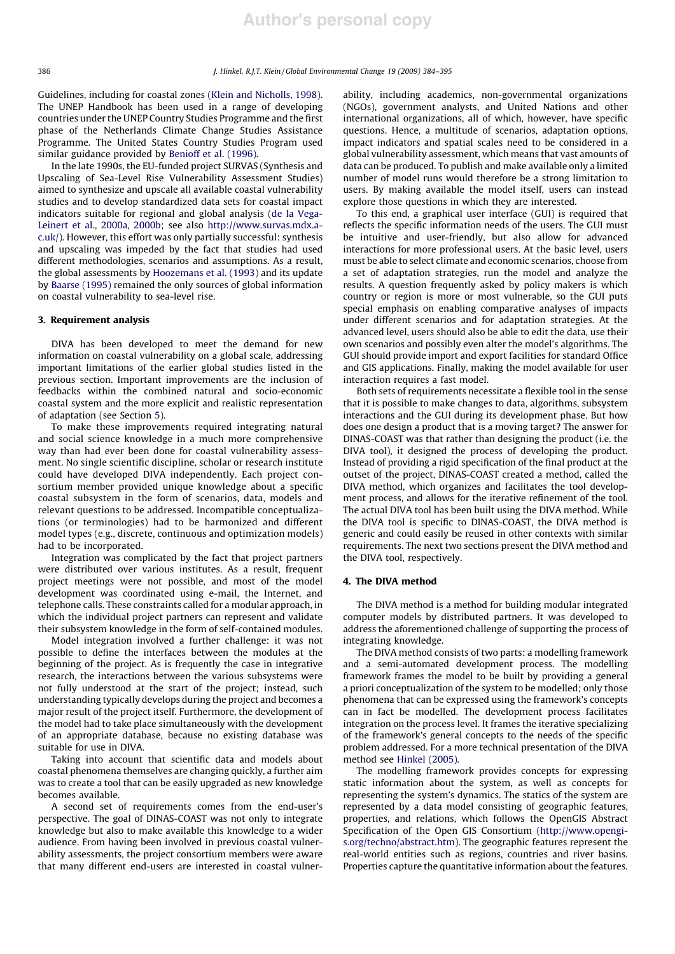Guidelines, including for coastal zones (Klein and Nicholls, 1998). The UNEP Handbook has been used in a range of developing countries under the UNEP Country Studies Programme and the first phase of the Netherlands Climate Change Studies Assistance Programme. The United States Country Studies Program used similar guidance provided by Benioff et al. (1996).

In the late 1990s, the EU-funded project SURVAS (Synthesis and Upscaling of Sea-Level Rise Vulnerability Assessment Studies) aimed to synthesize and upscale all available coastal vulnerability studies and to develop standardized data sets for coastal impact indicators suitable for regional and global analysis (de la Vega-Leinert et al., 2000a, 2000b; see also http://www.survas.mdx.ac.uk/). However, this effort was only partially successful: synthesis and upscaling was impeded by the fact that studies had used different methodologies, scenarios and assumptions. As a result, the global assessments by Hoozemans et al. (1993) and its update by Baarse (1995) remained the only sources of global information on coastal vulnerability to sea-level rise.

### 3. Requirement analysis

DIVA has been developed to meet the demand for new information on coastal vulnerability on a global scale, addressing important limitations of the earlier global studies listed in the previous section. Important improvements are the inclusion of feedbacks within the combined natural and socio-economic coastal system and the more explicit and realistic representation of adaptation (see Section 5).

To make these improvements required integrating natural and social science knowledge in a much more comprehensive way than had ever been done for coastal vulnerability assessment. No single scientific discipline, scholar or research institute could have developed DIVA independently. Each project consortium member provided unique knowledge about a specific coastal subsystem in the form of scenarios, data, models and relevant questions to be addressed. Incompatible conceptualizations (or terminologies) had to be harmonized and different model types (e.g., discrete, continuous and optimization models) had to be incorporated.

Integration was complicated by the fact that project partners were distributed over various institutes. As a result, frequent project meetings were not possible, and most of the model development was coordinated using e-mail, the Internet, and telephone calls. These constraints called for a modular approach, in which the individual project partners can represent and validate their subsystem knowledge in the form of self-contained modules.

Model integration involved a further challenge: it was not possible to define the interfaces between the modules at the beginning of the project. As is frequently the case in integrative research, the interactions between the various subsystems were not fully understood at the start of the project; instead, such understanding typically develops during the project and becomes a major result of the project itself. Furthermore, the development of the model had to take place simultaneously with the development of an appropriate database, because no existing database was suitable for use in DIVA.

Taking into account that scientific data and models about coastal phenomena themselves are changing quickly, a further aim was to create a tool that can be easily upgraded as new knowledge becomes available.

A second set of requirements comes from the end-user's perspective. The goal of DINAS-COAST was not only to integrate knowledge but also to make available this knowledge to a wider audience. From having been involved in previous coastal vulnerability assessments, the project consortium members were aware that many different end-users are interested in coastal vulnerability, including academics, non-governmental organizations (NGOs), government analysts, and United Nations and other international organizations, all of which, however, have specific questions. Hence, a multitude of scenarios, adaptation options, impact indicators and spatial scales need to be considered in a global vulnerability assessment, which means that vast amounts of data can be produced. To publish and make available only a limited number of model runs would therefore be a strong limitation to users. By making available the model itself, users can instead explore those questions in which they are interested.

To this end, a graphical user interface (GUI) is required that reflects the specific information needs of the users. The GUI must be intuitive and user-friendly, but also allow for advanced interactions for more professional users. At the basic level, users must be able to select climate and economic scenarios, choose from a set of adaptation strategies, run the model and analyze the results. A question frequently asked by policy makers is which country or region is more or most vulnerable, so the GUI puts special emphasis on enabling comparative analyses of impacts under different scenarios and for adaptation strategies. At the advanced level, users should also be able to edit the data, use their own scenarios and possibly even alter the model's algorithms. The GUI should provide import and export facilities for standard Office and GIS applications. Finally, making the model available for user interaction requires a fast model.

Both sets of requirements necessitate a flexible tool in the sense that it is possible to make changes to data, algorithms, subsystem interactions and the GUI during its development phase. But how does one design a product that is a moving target? The answer for DINAS-COAST was that rather than designing the product (i.e. the DIVA tool), it designed the process of developing the product. Instead of providing a rigid specification of the final product at the outset of the project, DINAS-COAST created a method, called the DIVA method, which organizes and facilitates the tool development process, and allows for the iterative refinement of the tool. The actual DIVA tool has been built using the DIVA method. While the DIVA tool is specific to DINAS-COAST, the DIVA method is generic and could easily be reused in other contexts with similar requirements. The next two sections present the DIVA method and the DIVA tool, respectively.

### 4. The DIVA method

The DIVA method is a method for building modular integrated computer models by distributed partners. It was developed to address the aforementioned challenge of supporting the process of integrating knowledge.

The DIVA method consists of two parts: a modelling framework and a semi-automated development process. The modelling framework frames the model to be built by providing a general a priori conceptualization of the system to be modelled; only those phenomena that can be expressed using the framework's concepts can in fact be modelled. The development process facilitates integration on the process level. It frames the iterative specializing of the framework's general concepts to the needs of the specific problem addressed. For a more technical presentation of the DIVA method see Hinkel (2005).

The modelling framework provides concepts for expressing static information about the system, as well as concepts for representing the system's dynamics. The statics of the system are represented by a data model consisting of geographic features, properties, and relations, which follows the OpenGIS Abstract Specification of the Open GIS Consortium (http://www.opengis.org/techno/abstract.htm). The geographic features represent the real-world entities such as regions, countries and river basins. Properties capture the quantitative information about the features.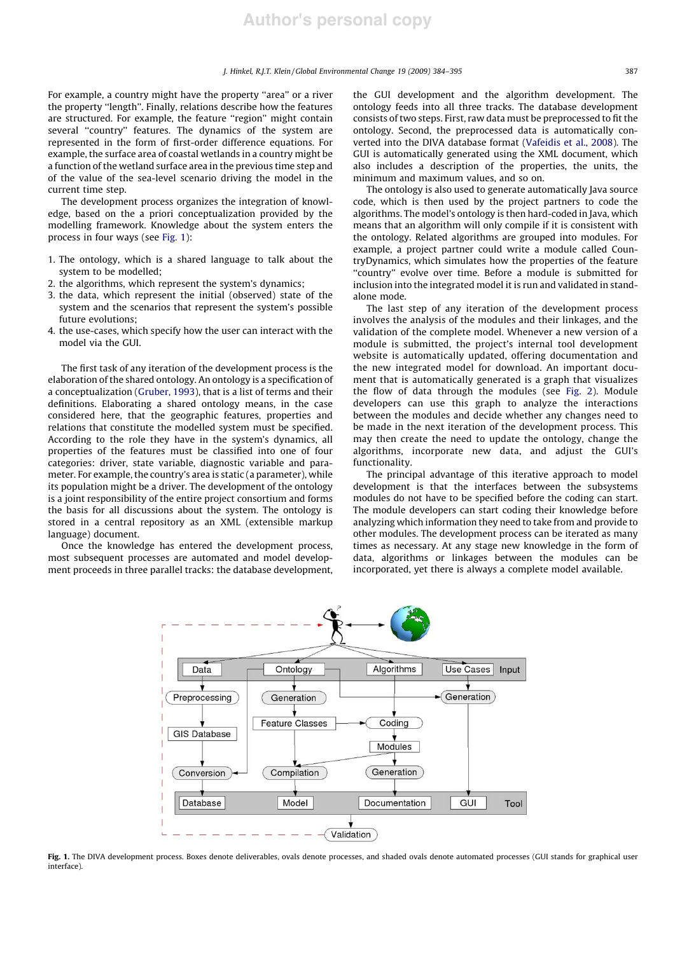For example, a country might have the property ''area'' or a river the property ''length''. Finally, relations describe how the features are structured. For example, the feature "region" might contain several ''country'' features. The dynamics of the system are represented in the form of first-order difference equations. For example, the surface area of coastal wetlands in a country might be a function of the wetland surface area in the previous time step and of the value of the sea-level scenario driving the model in the current time step.

The development process organizes the integration of knowledge, based on the a priori conceptualization provided by the modelling framework. Knowledge about the system enters the process in four ways (see Fig. 1):

- 1. The ontology, which is a shared language to talk about the system to be modelled;
- 2. the algorithms, which represent the system's dynamics;
- 3. the data, which represent the initial (observed) state of the system and the scenarios that represent the system's possible future evolutions;
- 4. the use-cases, which specify how the user can interact with the model via the GUI.

The first task of any iteration of the development process is the elaboration of the shared ontology. An ontology is a specification of a conceptualization (Gruber, 1993), that is a list of terms and their definitions. Elaborating a shared ontology means, in the case considered here, that the geographic features, properties and relations that constitute the modelled system must be specified. According to the role they have in the system's dynamics, all properties of the features must be classified into one of four categories: driver, state variable, diagnostic variable and parameter. For example, the country's area is static (a parameter), while its population might be a driver. The development of the ontology is a joint responsibility of the entire project consortium and forms the basis for all discussions about the system. The ontology is stored in a central repository as an XML (extensible markup language) document.

Once the knowledge has entered the development process, most subsequent processes are automated and model development proceeds in three parallel tracks: the database development, the GUI development and the algorithm development. The ontology feeds into all three tracks. The database development consists of two steps. First, raw data must be preprocessed to fit the ontology. Second, the preprocessed data is automatically converted into the DIVA database format (Vafeidis et al., 2008). The GUI is automatically generated using the XML document, which also includes a description of the properties, the units, the minimum and maximum values, and so on.

The ontology is also used to generate automatically Java source code, which is then used by the project partners to code the algorithms. The model's ontology is then hard-coded in Java, which means that an algorithm will only compile if it is consistent with the ontology. Related algorithms are grouped into modules. For example, a project partner could write a module called CountryDynamics, which simulates how the properties of the feature ''country'' evolve over time. Before a module is submitted for inclusion into the integrated model it is run and validated in standalone mode.

The last step of any iteration of the development process involves the analysis of the modules and their linkages, and the validation of the complete model. Whenever a new version of a module is submitted, the project's internal tool development website is automatically updated, offering documentation and the new integrated model for download. An important document that is automatically generated is a graph that visualizes the flow of data through the modules (see Fig. 2). Module developers can use this graph to analyze the interactions between the modules and decide whether any changes need to be made in the next iteration of the development process. This may then create the need to update the ontology, change the algorithms, incorporate new data, and adjust the GUI's functionality.

The principal advantage of this iterative approach to model development is that the interfaces between the subsystems modules do not have to be specified before the coding can start. The module developers can start coding their knowledge before analyzing which information they need to take from and provide to other modules. The development process can be iterated as many times as necessary. At any stage new knowledge in the form of data, algorithms or linkages between the modules can be incorporated, yet there is always a complete model available.



Fig. 1. The DIVA development process. Boxes denote deliverables, ovals denote processes, and shaded ovals denote automated processes (GUI stands for graphical user interface).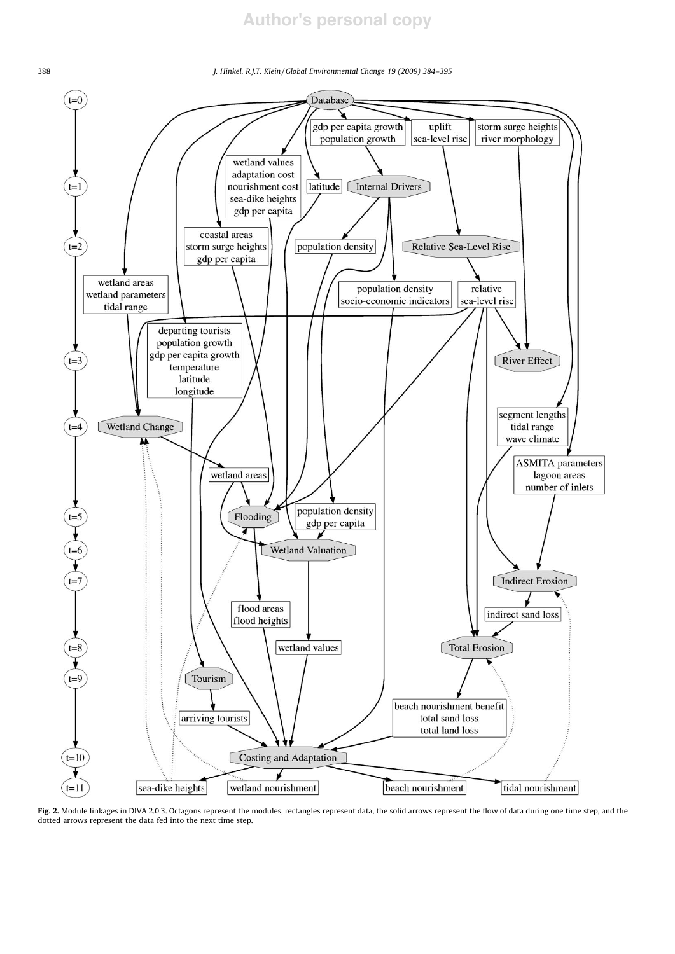## **Author's personal copy**

388 J. Hinkel, R.J.T. Klein / Global Environmental Change 19 (2009) 384–395



Fig. 2. Module linkages in DIVA 2.0.3. Octagons represent the modules, rectangles represent data, the solid arrows represent the flow of data during one time step, and the dotted arrows represent the data fed into the next time step.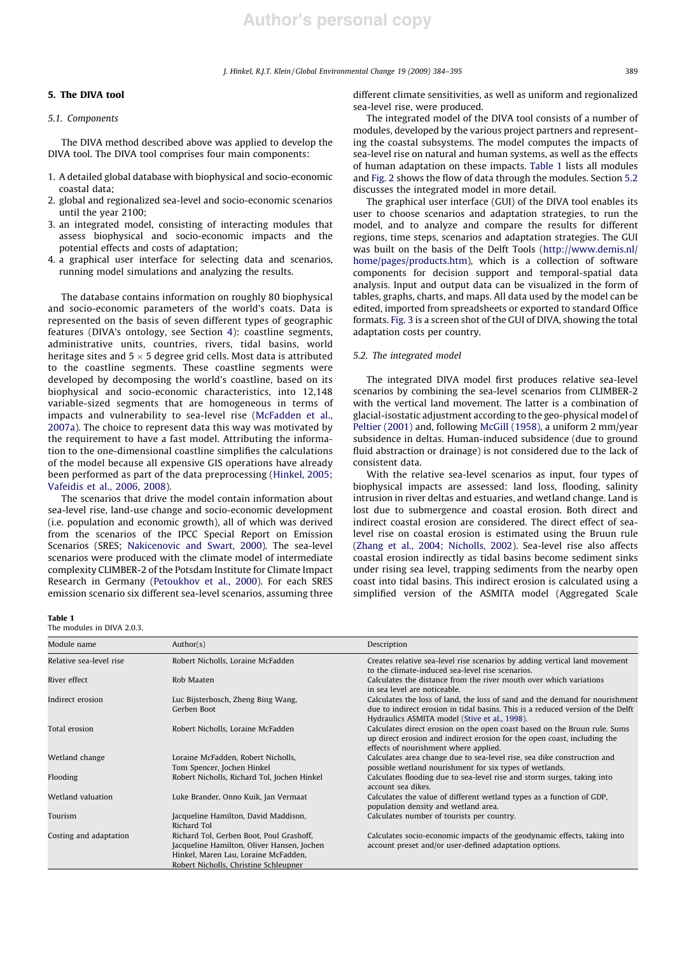## 5. The DIVA tool

### 5.1. Components

The DIVA method described above was applied to develop the DIVA tool. The DIVA tool comprises four main components:

- 1. A detailed global database with biophysical and socio-economic coastal data;
- 2. global and regionalized sea-level and socio-economic scenarios until the year 2100;
- 3. an integrated model, consisting of interacting modules that assess biophysical and socio-economic impacts and the potential effects and costs of adaptation;
- 4. a graphical user interface for selecting data and scenarios, running model simulations and analyzing the results.

The database contains information on roughly 80 biophysical and socio-economic parameters of the world's coats. Data is represented on the basis of seven different types of geographic features (DIVA's ontology, see Section 4): coastline segments, administrative units, countries, rivers, tidal basins, world heritage sites and  $5 \times 5$  degree grid cells. Most data is attributed to the coastline segments. These coastline segments were developed by decomposing the world's coastline, based on its biophysical and socio-economic characteristics, into 12,148 variable-sized segments that are homogeneous in terms of impacts and vulnerability to sea-level rise (McFadden et al., 2007a). The choice to represent data this way was motivated by the requirement to have a fast model. Attributing the information to the one-dimensional coastline simplifies the calculations of the model because all expensive GIS operations have already been performed as part of the data preprocessing (Hinkel, 2005; Vafeidis et al., 2006, 2008).

The scenarios that drive the model contain information about sea-level rise, land-use change and socio-economic development (i.e. population and economic growth), all of which was derived from the scenarios of the IPCC Special Report on Emission Scenarios (SRES; Nakicenovic and Swart, 2000). The sea-level scenarios were produced with the climate model of intermediate complexity CLIMBER-2 of the Potsdam Institute for Climate Impact Research in Germany (Petoukhov et al., 2000). For each SRES emission scenario six different sea-level scenarios, assuming three

| ын |  |
|----|--|
|----|--|

The modules in DIVA 2.0.3.

different climate sensitivities, as well as uniform and regionalized sea-level rise, were produced.

The integrated model of the DIVA tool consists of a number of modules, developed by the various project partners and representing the coastal subsystems. The model computes the impacts of sea-level rise on natural and human systems, as well as the effects of human adaptation on these impacts. Table 1 lists all modules and Fig. 2 shows the flow of data through the modules. Section 5.2 discusses the integrated model in more detail.

The graphical user interface (GUI) of the DIVA tool enables its user to choose scenarios and adaptation strategies, to run the model, and to analyze and compare the results for different regions, time steps, scenarios and adaptation strategies. The GUI was built on the basis of the Delft Tools (http://www.demis.nl/ home/pages/products.htm), which is a collection of software components for decision support and temporal-spatial data analysis. Input and output data can be visualized in the form of tables, graphs, charts, and maps. All data used by the model can be edited, imported from spreadsheets or exported to standard Office formats. Fig. 3 is a screen shot of the GUI of DIVA, showing the total adaptation costs per country.

## 5.2. The integrated model

The integrated DIVA model first produces relative sea-level scenarios by combining the sea-level scenarios from CLIMBER-2 with the vertical land movement. The latter is a combination of glacial-isostatic adjustment according to the geo-physical model of Peltier (2001) and, following McGill (1958), a uniform 2 mm/year subsidence in deltas. Human-induced subsidence (due to ground fluid abstraction or drainage) is not considered due to the lack of consistent data.

With the relative sea-level scenarios as input, four types of biophysical impacts are assessed: land loss, flooding, salinity intrusion in river deltas and estuaries, and wetland change. Land is lost due to submergence and coastal erosion. Both direct and indirect coastal erosion are considered. The direct effect of sealevel rise on coastal erosion is estimated using the Bruun rule (Zhang et al., 2004; Nicholls, 2002). Sea-level rise also affects coastal erosion indirectly as tidal basins become sediment sinks under rising sea level, trapping sediments from the nearby open coast into tidal basins. This indirect erosion is calculated using a simplified version of the ASMITA model (Aggregated Scale

| Module name             | Author(s)                                                                                                                                                               | Description                                                                                                                                                                                                      |  |
|-------------------------|-------------------------------------------------------------------------------------------------------------------------------------------------------------------------|------------------------------------------------------------------------------------------------------------------------------------------------------------------------------------------------------------------|--|
| Relative sea-level rise | Robert Nicholls, Loraine McFadden                                                                                                                                       | Creates relative sea-level rise scenarios by adding vertical land movement<br>to the climate-induced sea-level rise scenarios.                                                                                   |  |
| River effect            | Rob Maaten                                                                                                                                                              | Calculates the distance from the river mouth over which variations<br>in sea level are noticeable.                                                                                                               |  |
| Indirect erosion        | Luc Bijsterbosch, Zheng Bing Wang,<br>Gerben Boot                                                                                                                       | Calculates the loss of land, the loss of sand and the demand for nourishment<br>due to indirect erosion in tidal basins. This is a reduced version of the Delft<br>Hydraulics ASMITA model (Stive et al., 1998). |  |
| Total erosion           | Robert Nicholls, Loraine McFadden                                                                                                                                       | Calculates direct erosion on the open coast based on the Bruun rule. Sums<br>up direct erosion and indirect erosion for the open coast, including the<br>effects of nourishment where applied.                   |  |
| Wetland change          | Loraine McFadden, Robert Nicholls,<br>Tom Spencer, Jochen Hinkel                                                                                                        | Calculates area change due to sea-level rise, sea dike construction and<br>possible wetland nourishment for six types of wetlands.                                                                               |  |
| Flooding                | Robert Nicholls, Richard Tol, Jochen Hinkel                                                                                                                             | Calculates flooding due to sea-level rise and storm surges, taking into<br>account sea dikes.                                                                                                                    |  |
| Wetland valuation       | Luke Brander, Onno Kuik, Jan Vermaat                                                                                                                                    | Calculates the value of different wetland types as a function of GDP,<br>population density and wetland area.                                                                                                    |  |
| Tourism                 | Jacqueline Hamilton, David Maddison,<br>Richard Tol                                                                                                                     | Calculates number of tourists per country.                                                                                                                                                                       |  |
| Costing and adaptation  | Richard Tol, Gerben Boot, Poul Grashoff,<br>Jacqueline Hamilton, Oliver Hansen, Jochen<br>Hinkel, Maren Lau, Loraine McFadden,<br>Robert Nicholls, Christine Schleupner | Calculates socio-economic impacts of the geodynamic effects, taking into<br>account preset and/or user-defined adaptation options.                                                                               |  |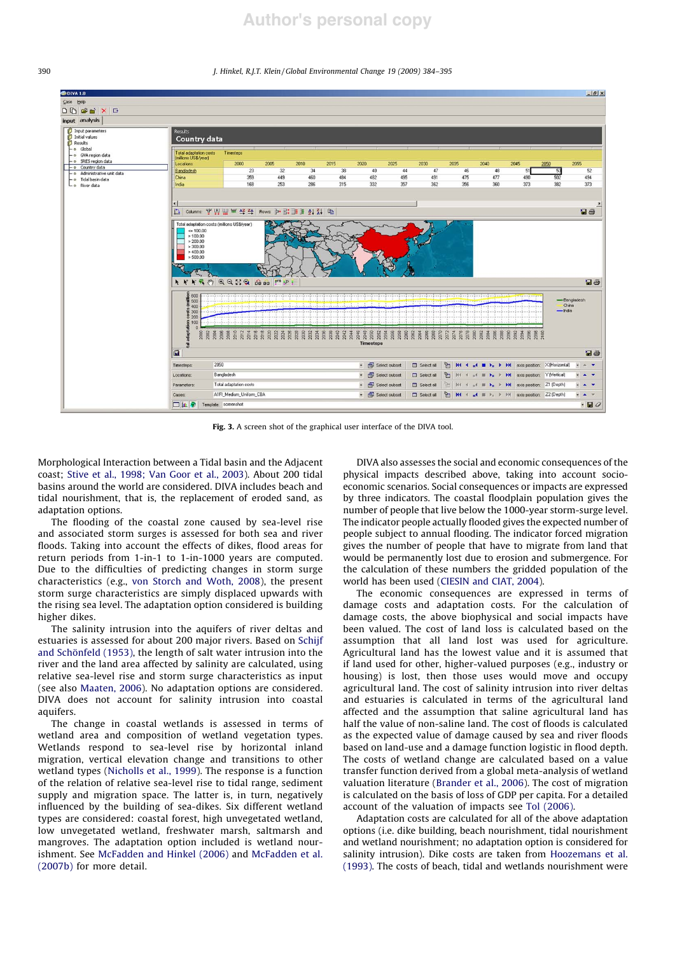#### 390 J. Hinkel, R.J.T. Klein / Global Environmental Change 19 (2009) 384–395



Fig. 3. A screen shot of the graphical user interface of the DIVA tool.

Morphological Interaction between a Tidal basin and the Adjacent coast; Stive et al., 1998; Van Goor et al., 2003). About 200 tidal basins around the world are considered. DIVA includes beach and tidal nourishment, that is, the replacement of eroded sand, as adaptation options.

The flooding of the coastal zone caused by sea-level rise and associated storm surges is assessed for both sea and river floods. Taking into account the effects of dikes, flood areas for return periods from 1-in-1 to 1-in-1000 years are computed. Due to the difficulties of predicting changes in storm surge characteristics (e.g., von Storch and Woth, 2008), the present storm surge characteristics are simply displaced upwards with the rising sea level. The adaptation option considered is building higher dikes.

The salinity intrusion into the aquifers of river deltas and estuaries is assessed for about 200 major rivers. Based on Schijf and Schönfeld (1953), the length of salt water intrusion into the river and the land area affected by salinity are calculated, using relative sea-level rise and storm surge characteristics as input (see also Maaten, 2006). No adaptation options are considered. DIVA does not account for salinity intrusion into coastal aquifers.

The change in coastal wetlands is assessed in terms of wetland area and composition of wetland vegetation types. Wetlands respond to sea-level rise by horizontal inland migration, vertical elevation change and transitions to other wetland types (Nicholls et al., 1999). The response is a function of the relation of relative sea-level rise to tidal range, sediment supply and migration space. The latter is, in turn, negatively influenced by the building of sea-dikes. Six different wetland types are considered: coastal forest, high unvegetated wetland, low unvegetated wetland, freshwater marsh, saltmarsh and mangroves. The adaptation option included is wetland nourishment. See McFadden and Hinkel (2006) and McFadden et al. (2007b) for more detail.

DIVA also assesses the social and economic consequences of the physical impacts described above, taking into account socioeconomic scenarios. Social consequences or impacts are expressed by three indicators. The coastal floodplain population gives the number of people that live below the 1000-year storm-surge level. The indicator people actually flooded gives the expected number of people subject to annual flooding. The indicator forced migration gives the number of people that have to migrate from land that would be permanently lost due to erosion and submergence. For the calculation of these numbers the gridded population of the world has been used (CIESIN and CIAT, 2004).

The economic consequences are expressed in terms of damage costs and adaptation costs. For the calculation of damage costs, the above biophysical and social impacts have been valued. The cost of land loss is calculated based on the assumption that all land lost was used for agriculture. Agricultural land has the lowest value and it is assumed that if land used for other, higher-valued purposes (e.g., industry or housing) is lost, then those uses would move and occupy agricultural land. The cost of salinity intrusion into river deltas and estuaries is calculated in terms of the agricultural land affected and the assumption that saline agricultural land has half the value of non-saline land. The cost of floods is calculated as the expected value of damage caused by sea and river floods based on land-use and a damage function logistic in flood depth. The costs of wetland change are calculated based on a value transfer function derived from a global meta-analysis of wetland valuation literature (Brander et al., 2006). The cost of migration is calculated on the basis of loss of GDP per capita. For a detailed account of the valuation of impacts see Tol (2006).

Adaptation costs are calculated for all of the above adaptation options (i.e. dike building, beach nourishment, tidal nourishment and wetland nourishment; no adaptation option is considered for salinity intrusion). Dike costs are taken from Hoozemans et al. (1993). The costs of beach, tidal and wetlands nourishment were

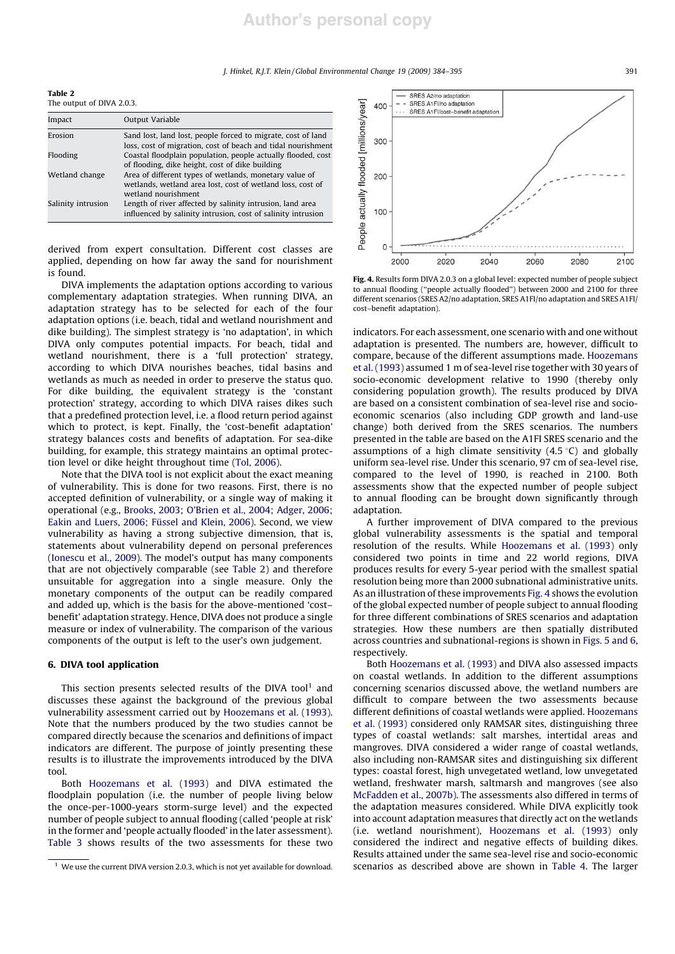J. Hinkel, R.J.T. Klein / Global Environmental Change 19 (2009) 384–395 391

Table 2 The output of DIVA 2.0.3.

| Impact             | Output Variable                                                                                                                             |
|--------------------|---------------------------------------------------------------------------------------------------------------------------------------------|
| Erosion            | Sand lost, land lost, people forced to migrate, cost of land<br>loss, cost of migration, cost of beach and tidal nourishment                |
| Flooding           | Coastal floodplain population, people actually flooded, cost<br>of flooding, dike height, cost of dike building                             |
| Wetland change     | Area of different types of wetlands, monetary value of<br>wetlands, wetland area lost, cost of wetland loss, cost of<br>wetland nourishment |
| Salinity intrusion | Length of river affected by salinity intrusion, land area<br>influenced by salinity intrusion, cost of salinity intrusion                   |

derived from expert consultation. Different cost classes are applied, depending on how far away the sand for nourishment is found.

DIVA implements the adaptation options according to various complementary adaptation strategies. When running DIVA, an adaptation strategy has to be selected for each of the four adaptation options (i.e. beach, tidal and wetland nourishment and dike building). The simplest strategy is 'no adaptation', in which DIVA only computes potential impacts. For beach, tidal and wetland nourishment, there is a 'full protection' strategy, according to which DIVA nourishes beaches, tidal basins and wetlands as much as needed in order to preserve the status quo. For dike building, the equivalent strategy is the 'constant protection' strategy, according to which DIVA raises dikes such that a predefined protection level, i.e. a flood return period against which to protect, is kept. Finally, the 'cost-benefit adaptation' strategy balances costs and benefits of adaptation. For sea-dike building, for example, this strategy maintains an optimal protection level or dike height throughout time (Tol, 2006).

Note that the DIVA tool is not explicit about the exact meaning of vulnerability. This is done for two reasons. First, there is no accepted definition of vulnerability, or a single way of making it operational (e.g., Brooks, 2003; O'Brien et al., 2004; Adger, 2006; Eakin and Luers, 2006; Füssel and Klein, 2006). Second, we view vulnerability as having a strong subjective dimension, that is, statements about vulnerability depend on personal preferences (Ionescu et al., 2009). The model's output has many components that are not objectively comparable (see Table 2) and therefore unsuitable for aggregation into a single measure. Only the monetary components of the output can be readily compared and added up, which is the basis for the above-mentioned 'cost– benefit' adaptation strategy. Hence, DIVA does not produce a single measure or index of vulnerability. The comparison of the various components of the output is left to the user's own judgement.

### 6. DIVA tool application

This section presents selected results of the DIVA tool<sup>1</sup> and discusses these against the background of the previous global vulnerability assessment carried out by Hoozemans et al. (1993). Note that the numbers produced by the two studies cannot be compared directly because the scenarios and definitions of impact indicators are different. The purpose of jointly presenting these results is to illustrate the improvements introduced by the DIVA tool.

Both Hoozemans et al. (1993) and DIVA estimated the floodplain population (i.e. the number of people living below the once-per-1000-years storm-surge level) and the expected number of people subject to annual flooding (called 'people at risk' in the former and 'people actually flooded' in the later assessment). Table 3 shows results of the two assessments for these two



Fig. 4. Results form DIVA 2.0.3 on a global level: expected number of people subject to annual flooding (''people actually flooded'') between 2000 and 2100 for three different scenarios (SRES A2/no adaptation, SRES A1FI/no adaptation and SRES A1FI/ cost–benefit adaptation).

indicators. For each assessment, one scenario with and one without adaptation is presented. The numbers are, however, difficult to compare, because of the different assumptions made. Hoozemans et al. (1993) assumed 1 m of sea-level rise together with 30 years of socio-economic development relative to 1990 (thereby only considering population growth). The results produced by DIVA are based on a consistent combination of sea-level rise and socioeconomic scenarios (also including GDP growth and land-use change) both derived from the SRES scenarios. The numbers presented in the table are based on the A1FI SRES scenario and the assumptions of a high climate sensitivity  $(4.5 \degree C)$  and globally uniform sea-level rise. Under this scenario, 97 cm of sea-level rise, compared to the level of 1990, is reached in 2100. Both assessments show that the expected number of people subject to annual flooding can be brought down significantly through adaptation.

A further improvement of DIVA compared to the previous global vulnerability assessments is the spatial and temporal resolution of the results. While Hoozemans et al. (1993) only considered two points in time and 22 world regions, DIVA produces results for every 5-year period with the smallest spatial resolution being more than 2000 subnational administrative units. As an illustration of these improvements Fig. 4 shows the evolution of the global expected number of people subject to annual flooding for three different combinations of SRES scenarios and adaptation strategies. How these numbers are then spatially distributed across countries and subnational-regions is shown in Figs. 5 and 6, respectively.

Both Hoozemans et al. (1993) and DIVA also assessed impacts on coastal wetlands. In addition to the different assumptions concerning scenarios discussed above, the wetland numbers are difficult to compare between the two assessments because different definitions of coastal wetlands were applied. Hoozemans et al. (1993) considered only RAMSAR sites, distinguishing three types of coastal wetlands: salt marshes, intertidal areas and mangroves. DIVA considered a wider range of coastal wetlands, also including non-RAMSAR sites and distinguishing six different types: coastal forest, high unvegetated wetland, low unvegetated wetland, freshwater marsh, saltmarsh and mangroves (see also McFadden et al., 2007b). The assessments also differed in terms of the adaptation measures considered. While DIVA explicitly took into account adaptation measures that directly act on the wetlands (i.e. wetland nourishment), Hoozemans et al. (1993) only considered the indirect and negative effects of building dikes. Results attained under the same sea-level rise and socio-economic scenarios as described above are shown in Table 4. The larger

 $1$  We use the current DIVA version 2.0.3, which is not vet available for download.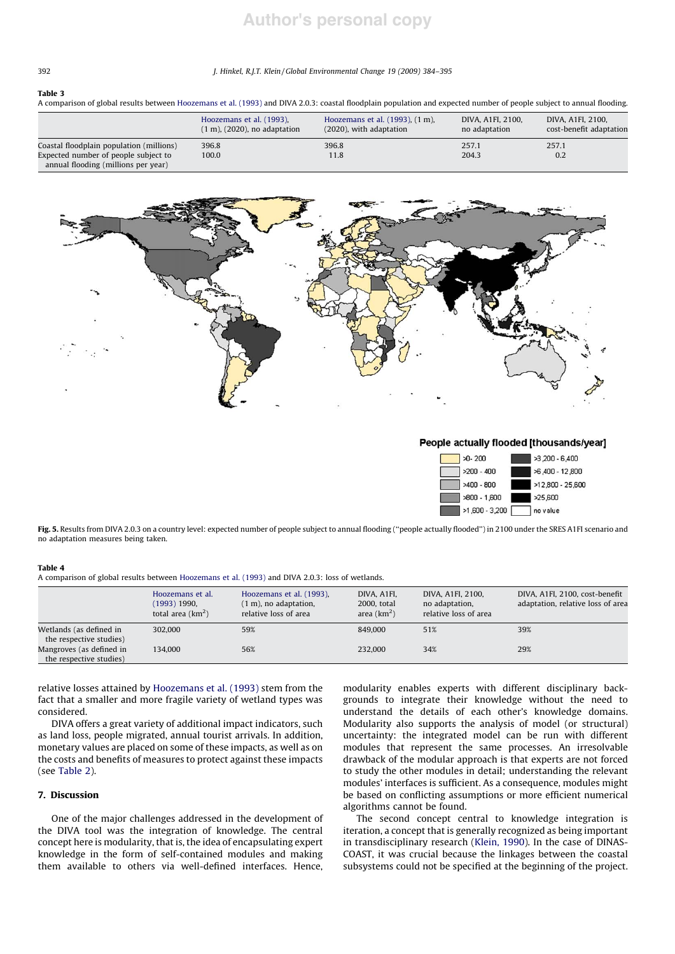## **Author's personal copy**

#### 392 J. Hinkel, R.J.T. Klein / Global Environmental Change 19 (2009) 384–395

#### Table 3

A comparison of global results between Hoozemans et al. (1993) and DIVA 2.0.3: coastal floodplain population and expected number of people subject to annual flooding.

|                                          | Hoozemans et al. (1993).<br>$(1 \text{ m})$ , $(2020)$ , no adaptation | Hoozemans et al. (1993), (1 m),<br>$(2020)$ , with adaptation | DIVA, A1FI, 2100,<br>no adaptation | DIVA. A1FI. 2100.<br>cost-benefit adaptation |
|------------------------------------------|------------------------------------------------------------------------|---------------------------------------------------------------|------------------------------------|----------------------------------------------|
| Coastal floodplain population (millions) | 396.8                                                                  | 396.8                                                         | 257.1                              | 257.1                                        |
| Expected number of people subject to     | 100.0                                                                  | 11.8                                                          | 204.3                              | 0.2                                          |
| annual flooding (millions per year)      |                                                                        |                                                               |                                    |                                              |



### People actually flooded Ithousands/vearl



Fig. 5. Results from DIVA 2.0.3 on a country level: expected number of people subject to annual flooding ("people actually flooded") in 2100 under the SRES A1FI scenario and no adaptation measures being taken.

#### Table 4

A comparison of global results between Hoozemans et al. (1993) and DIVA 2.0.3: loss of wetlands.

|                                                     | Hoozemans et al.<br>(1993) 1990,<br>total area $(km2)$ | Hoozemans et al. (1993).<br>$(1 \,\mathrm{m})$ , no adaptation,<br>relative loss of area | DIVA, A1FI.<br>2000. total<br>area $(km2)$ | DIVA, A1FI, 2100,<br>no adaptation,<br>relative loss of area | DIVA, A1FI, 2100, cost-benefit<br>adaptation, relative loss of area |
|-----------------------------------------------------|--------------------------------------------------------|------------------------------------------------------------------------------------------|--------------------------------------------|--------------------------------------------------------------|---------------------------------------------------------------------|
| Wetlands (as defined in<br>the respective studies)  | 302,000                                                | 59%                                                                                      | 849,000                                    | 51%                                                          | 39%                                                                 |
| Mangroves (as defined in<br>the respective studies) | 134.000                                                | 56%                                                                                      | 232,000                                    | 34%                                                          | 29%                                                                 |

relative losses attained by Hoozemans et al. (1993) stem from the fact that a smaller and more fragile variety of wetland types was considered.

DIVA offers a great variety of additional impact indicators, such as land loss, people migrated, annual tourist arrivals. In addition, monetary values are placed on some of these impacts, as well as on the costs and benefits of measures to protect against these impacts (see Table 2).

## 7. Discussion

One of the major challenges addressed in the development of the DIVA tool was the integration of knowledge. The central concept here is modularity, that is, the idea of encapsulating expert knowledge in the form of self-contained modules and making them available to others via well-defined interfaces. Hence,

modularity enables experts with different disciplinary backgrounds to integrate their knowledge without the need to understand the details of each other's knowledge domains. Modularity also supports the analysis of model (or structural) uncertainty: the integrated model can be run with different modules that represent the same processes. An irresolvable drawback of the modular approach is that experts are not forced to study the other modules in detail; understanding the relevant modules' interfaces is sufficient. As a consequence, modules might be based on conflicting assumptions or more efficient numerical algorithms cannot be found.

The second concept central to knowledge integration is iteration, a concept that is generally recognized as being important in transdisciplinary research (Klein, 1990). In the case of DINAS-COAST, it was crucial because the linkages between the coastal subsystems could not be specified at the beginning of the project.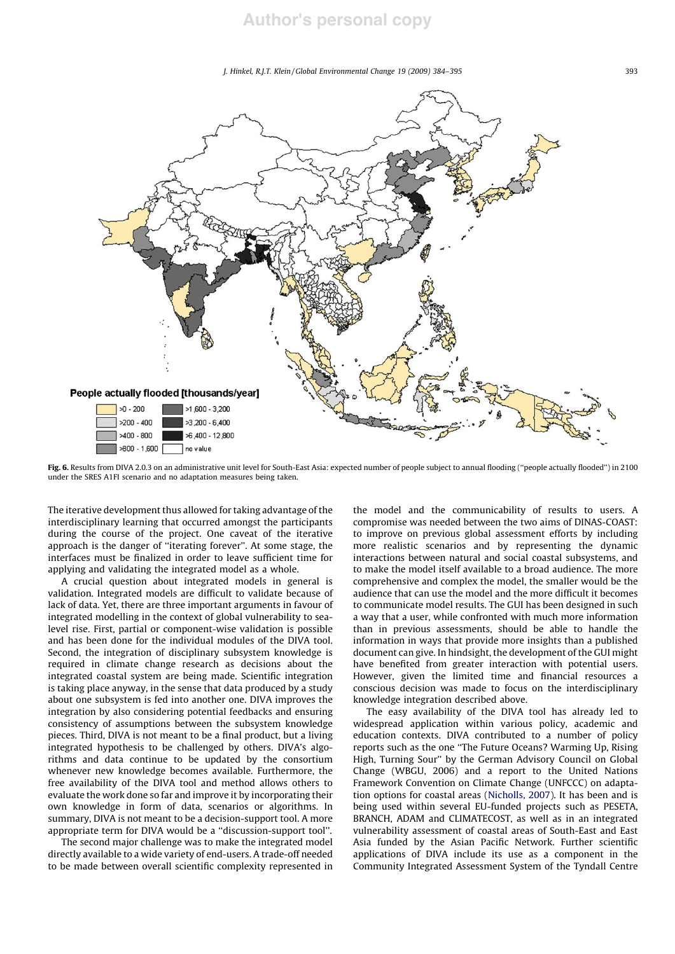J. Hinkel, R.J.T. Klein / Global Environmental Change 19 (2009) 384–395 393



Fig. 6. Results from DIVA 2.0.3 on an administrative unit level for South-East Asia: expected number of people subject to annual flooding ("people actually flooded") in 2100 under the SRES A1FI scenario and no adaptation measures being taken.

The iterative development thus allowed for taking advantage of the interdisciplinary learning that occurred amongst the participants during the course of the project. One caveat of the iterative approach is the danger of ''iterating forever''. At some stage, the interfaces must be finalized in order to leave sufficient time for applying and validating the integrated model as a whole.

A crucial question about integrated models in general is validation. Integrated models are difficult to validate because of lack of data. Yet, there are three important arguments in favour of integrated modelling in the context of global vulnerability to sealevel rise. First, partial or component-wise validation is possible and has been done for the individual modules of the DIVA tool. Second, the integration of disciplinary subsystem knowledge is required in climate change research as decisions about the integrated coastal system are being made. Scientific integration is taking place anyway, in the sense that data produced by a study about one subsystem is fed into another one. DIVA improves the integration by also considering potential feedbacks and ensuring consistency of assumptions between the subsystem knowledge pieces. Third, DIVA is not meant to be a final product, but a living integrated hypothesis to be challenged by others. DIVA's algorithms and data continue to be updated by the consortium whenever new knowledge becomes available. Furthermore, the free availability of the DIVA tool and method allows others to evaluate the work done so far and improve it by incorporating their own knowledge in form of data, scenarios or algorithms. In summary, DIVA is not meant to be a decision-support tool. A more appropriate term for DIVA would be a ''discussion-support tool''.

The second major challenge was to make the integrated model directly available to a wide variety of end-users. A trade-off needed to be made between overall scientific complexity represented in the model and the communicability of results to users. A compromise was needed between the two aims of DINAS-COAST: to improve on previous global assessment efforts by including more realistic scenarios and by representing the dynamic interactions between natural and social coastal subsystems, and to make the model itself available to a broad audience. The more comprehensive and complex the model, the smaller would be the audience that can use the model and the more difficult it becomes to communicate model results. The GUI has been designed in such a way that a user, while confronted with much more information than in previous assessments, should be able to handle the information in ways that provide more insights than a published document can give. In hindsight, the development of the GUI might have benefited from greater interaction with potential users. However, given the limited time and financial resources a conscious decision was made to focus on the interdisciplinary knowledge integration described above.

The easy availability of the DIVA tool has already led to widespread application within various policy, academic and education contexts. DIVA contributed to a number of policy reports such as the one ''The Future Oceans? Warming Up, Rising High, Turning Sour'' by the German Advisory Council on Global Change (WBGU, 2006) and a report to the United Nations Framework Convention on Climate Change (UNFCCC) on adaptation options for coastal areas (Nicholls, 2007). It has been and is being used within several EU-funded projects such as PESETA, BRANCH, ADAM and CLIMATECOST, as well as in an integrated vulnerability assessment of coastal areas of South-East and East Asia funded by the Asian Pacific Network. Further scientific applications of DIVA include its use as a component in the Community Integrated Assessment System of the Tyndall Centre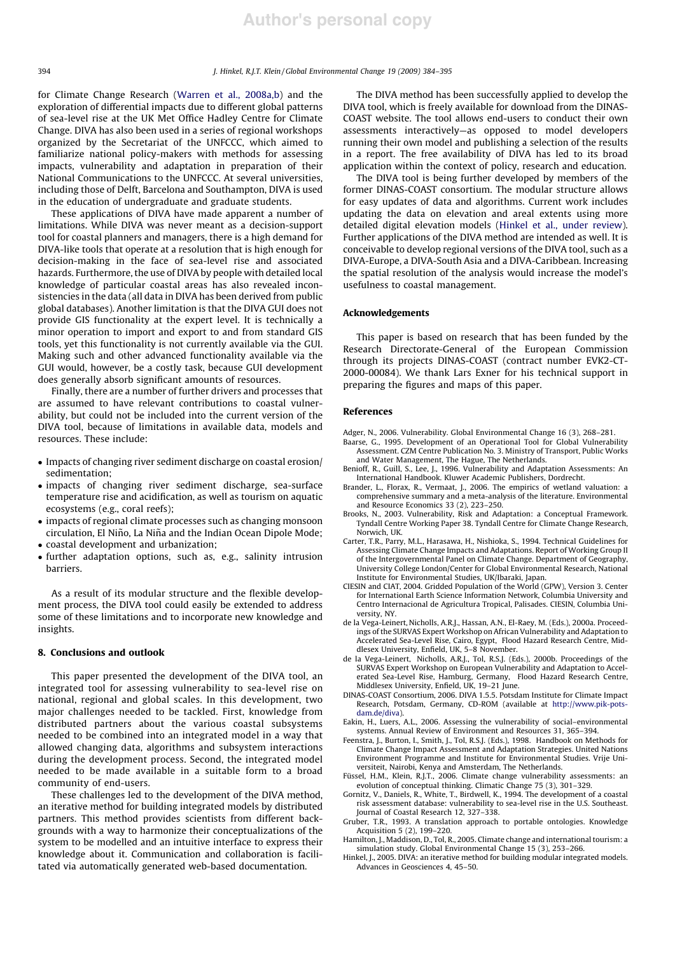#### 394 J. Hinkel, R.J.T. Klein / Global Environmental Change 19 (2009) 384–395

for Climate Change Research (Warren et al., 2008a,b) and the exploration of differential impacts due to different global patterns of sea-level rise at the UK Met Office Hadley Centre for Climate Change. DIVA has also been used in a series of regional workshops organized by the Secretariat of the UNFCCC, which aimed to familiarize national policy-makers with methods for assessing impacts, vulnerability and adaptation in preparation of their National Communications to the UNFCCC. At several universities, including those of Delft, Barcelona and Southampton, DIVA is used in the education of undergraduate and graduate students.

These applications of DIVA have made apparent a number of limitations. While DIVA was never meant as a decision-support tool for coastal planners and managers, there is a high demand for DIVA-like tools that operate at a resolution that is high enough for decision-making in the face of sea-level rise and associated hazards. Furthermore, the use of DIVA by people with detailed local knowledge of particular coastal areas has also revealed inconsistencies in the data (all data in DIVA has been derived from public global databases). Another limitation is that the DIVA GUI does not provide GIS functionality at the expert level. It is technically a minor operation to import and export to and from standard GIS tools, yet this functionality is not currently available via the GUI. Making such and other advanced functionality available via the GUI would, however, be a costly task, because GUI development does generally absorb significant amounts of resources.

Finally, there are a number of further drivers and processes that are assumed to have relevant contributions to coastal vulnerability, but could not be included into the current version of the DIVA tool, because of limitations in available data, models and resources. These include:

- ! Impacts of changing river sediment discharge on coastal erosion/ sedimentation;
- ! impacts of changing river sediment discharge, sea-surface temperature rise and acidification, as well as tourism on aquatic ecosystems (e.g., coral reefs);
- impacts of regional climate processes such as changing monsoon circulation, El Niño, La Niña and the Indian Ocean Dipole Mode;
- ! coastal development and urbanization;
- ! further adaptation options, such as, e.g., salinity intrusion barriers.

As a result of its modular structure and the flexible development process, the DIVA tool could easily be extended to address some of these limitations and to incorporate new knowledge and insights.

## 8. Conclusions and outlook

This paper presented the development of the DIVA tool, an integrated tool for assessing vulnerability to sea-level rise on national, regional and global scales. In this development, two major challenges needed to be tackled. First, knowledge from distributed partners about the various coastal subsystems needed to be combined into an integrated model in a way that allowed changing data, algorithms and subsystem interactions during the development process. Second, the integrated model needed to be made available in a suitable form to a broad community of end-users.

These challenges led to the development of the DIVA method, an iterative method for building integrated models by distributed partners. This method provides scientists from different backgrounds with a way to harmonize their conceptualizations of the system to be modelled and an intuitive interface to express their knowledge about it. Communication and collaboration is facilitated via automatically generated web-based documentation.

The DIVA method has been successfully applied to develop the DIVA tool, which is freely available for download from the DINAS-COAST website. The tool allows end-users to conduct their own assessments interactively—as opposed to model developers running their own model and publishing a selection of the results in a report. The free availability of DIVA has led to its broad application within the context of policy, research and education.

The DIVA tool is being further developed by members of the former DINAS-COAST consortium. The modular structure allows for easy updates of data and algorithms. Current work includes updating the data on elevation and areal extents using more detailed digital elevation models (Hinkel et al., under review). Further applications of the DIVA method are intended as well. It is conceivable to develop regional versions of the DIVA tool, such as a DIVA-Europe, a DIVA-South Asia and a DIVA-Caribbean. Increasing the spatial resolution of the analysis would increase the model's usefulness to coastal management.

#### Acknowledgements

This paper is based on research that has been funded by the Research Directorate-General of the European Commission through its projects DINAS-COAST (contract number EVK2-CT-2000-00084). We thank Lars Exner for his technical support in preparing the figures and maps of this paper.

#### References

- Adger, N., 2006. Vulnerability. Global Environmental Change 16 (3), 268–281.
- Baarse, G., 1995. Development of an Operational Tool for Global Vulnerability Assessment. CZM Centre Publication No. 3. Ministry of Transport, Public Works and Water Management, The Hague, The Netherlands.
- Benioff, R., Guill, S., Lee, J., 1996. Vulnerability and Adaptation Assessments: An International Handbook. Kluwer Academic Publishers, Dordrecht.
- Brander, L., Florax, R., Vermaat, J., 2006. The empirics of wetland valuation: a comprehensive summary and a meta-analysis of the literature. Environmental and Resource Economics 33 (2), 223–250.
- Brooks, N., 2003. Vulnerability, Risk and Adaptation: a Conceptual Framework. Tyndall Centre Working Paper 38. Tyndall Centre for Climate Change Research, Norwich, UK.
- Carter, T.R., Parry, M.L., Harasawa, H., Nishioka, S., 1994. Technical Guidelines for Assessing Climate Change Impacts and Adaptations. Report of Working Group II of the Intergovernmental Panel on Climate Change. Department of Geography, University College London/Center for Global Environmental Research, National Institute for Environmental Studies, UK/Ibaraki, Japan.
- CIESIN and CIAT, 2004. Gridded Population of the World (GPW), Version 3. Center for International Earth Science Information Network, Columbia University and Centro Internacional de Agricultura Tropical, Palisades. CIESIN, Columbia University, NY.
- de la Vega-Leinert, Nicholls, A.R.J., Hassan, A.N., El-Raey, M. (Eds.), 2000a. Proceedings of the SURVAS Expert Workshop on African Vulnerability and Adaptation to Accelerated Sea-Level Rise, Cairo, Egypt, Flood Hazard Research Centre, Middlesex University, Enfield, UK, 5–8 November.
- de la Vega-Leinert, Nicholls, A.R.J., Tol, R.S.J. (Eds.), 2000b. Proceedings of the SURVAS Expert Workshop on European Vulnerability and Adaptation to Accelerated Sea-Level Rise, Hamburg, Germany, Flood Hazard Research Centre, Middlesex University, Enfield, UK, 19–21 June.
- DINAS-COAST Consortium, 2006. DIVA 1.5.5. Potsdam Institute for Climate Impact Research, Potsdam, Germany, CD-ROM (available at http://www.pik-potsdam.de/diva).
- Eakin, H., Luers, A.L., 2006. Assessing the vulnerability of social–environmental systems. Annual Review of Environment and Resources 31, 365–394.
- Feenstra, J., Burton, I., Smith, J., Tol, R.S.J. (Eds.), 1998. Handbook on Methods for Climate Change Impact Assessment and Adaptation Strategies. United Nations Environment Programme and Institute for Environmental Studies. Vrije Universiteit, Nairobi, Kenya and Amsterdam, The Netherlands.
- Füssel, H.M., Klein, R.J.T., 2006. Climate change vulnerability assessments: an evolution of conceptual thinking. Climatic Change 75 (3), 301–329.
- Gornitz, V., Daniels, R., White, T., Birdwell, K., 1994. The development of a coastal risk assessment database: vulnerability to sea-level rise in the U.S. Southeast. Journal of Coastal Research 12, 327–338.
- Gruber, T.R., 1993. A translation approach to portable ontologies. Knowledge Acquisition 5 (2), 199–220.
- Hamilton, J., Maddison, D., Tol, R., 2005. Climate change and international tourism: a simulation study. Global Environmental Change 15 (3), 253–266.
- Hinkel, J., 2005. DIVA: an iterative method for building modular integrated models. Advances in Geosciences 4, 45–50.